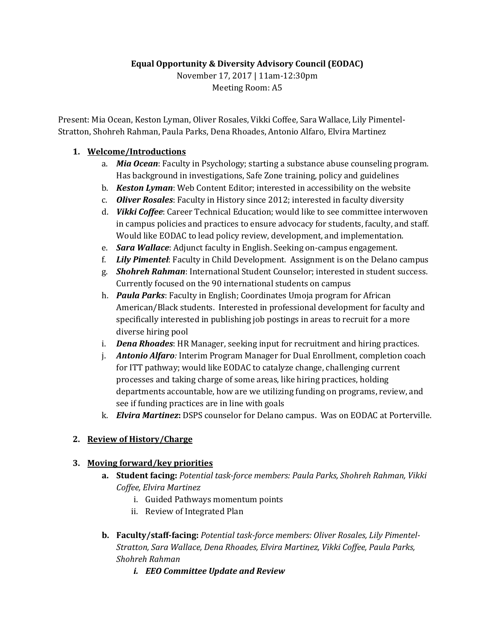### **Equal Opportunity & Diversity Advisory Council (EODAC)**

November 17, 2017 | 11am-12:30pm Meeting Room: A5

Present: Mia Ocean, Keston Lyman, Oliver Rosales, Vikki Coffee, Sara Wallace, Lily Pimentel-Stratton, Shohreh Rahman, Paula Parks, Dena Rhoades, Antonio Alfaro, Elvira Martinez

#### **1. Welcome/Introductions**

- a. *Mia Ocean*: Faculty in Psychology; starting a substance abuse counseling program. Has background in investigations, Safe Zone training, policy and guidelines
- b. *Keston Lyman*: Web Content Editor; interested in accessibility on the website
- c. *Oliver Rosales*: Faculty in History since 2012; interested in faculty diversity
- d. *Vikki Coffee*: Career Technical Education; would like to see committee interwoven in campus policies and practices to ensure advocacy for students, faculty, and staff. Would like EODAC to lead policy review, development, and implementation.
- e. *Sara Wallace*: Adjunct faculty in English. Seeking on-campus engagement.
- f. *Lily Pimentel*: Faculty in Child Development. Assignment is on the Delano campus
- g. *Shohreh Rahman*: International Student Counselor; interested in student success. Currently focused on the 90 international students on campus
- h. *Paula Parks*: Faculty in English; Coordinates Umoja program for African American/Black students. Interested in professional development for faculty and specifically interested in publishing job postings in areas to recruit for a more diverse hiring pool
- i. *Dena Rhoades*: HR Manager, seeking input for recruitment and hiring practices.
- j. *Antonio Alfaro:* Interim Program Manager for Dual Enrollment, completion coach for ITT pathway; would like EODAC to catalyze change, challenging current processes and taking charge of some areas, like hiring practices, holding departments accountable, how are we utilizing funding on programs, review, and see if funding practices are in line with goals
- k. *Elvira Martinez***:** DSPS counselor for Delano campus. Was on EODAC at Porterville.

### **2. Review of History/Charge**

### **3. Moving forward/key priorities**

- **a. Student facing:** *Potential task-force members: Paula Parks, Shohreh Rahman, Vikki Coffee, Elvira Martinez*
	- i. Guided Pathways momentum points
	- ii. Review of Integrated Plan
- **b. Faculty/staff-facing:** *Potential task-force members: Oliver Rosales, Lily Pimentel-Stratton, Sara Wallace, Dena Rhoades, Elvira Martinez, Vikki Coffee, Paula Parks, Shohreh Rahman*
	- *i. EEO Committee Update and Review*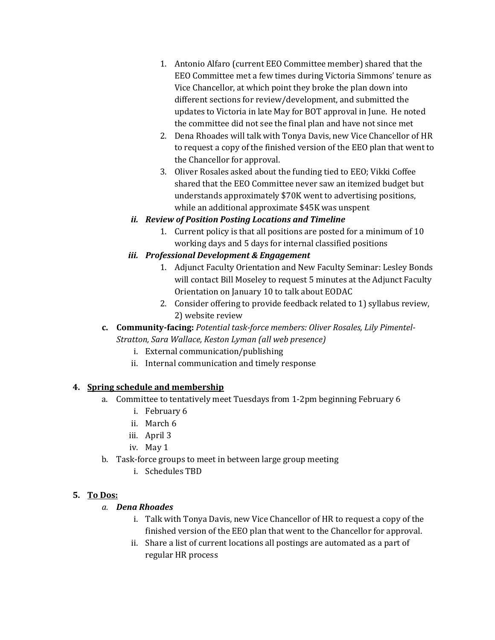- 1. Antonio Alfaro (current EEO Committee member) shared that the EEO Committee met a few times during Victoria Simmons' tenure as Vice Chancellor, at which point they broke the plan down into different sections for review/development, and submitted the updates to Victoria in late May for BOT approval in June. He noted the committee did not see the final plan and have not since met
- 2. Dena Rhoades will talk with Tonya Davis, new Vice Chancellor of HR to request a copy of the finished version of the EEO plan that went to the Chancellor for approval.
- 3. Oliver Rosales asked about the funding tied to EEO; Vikki Coffee shared that the EEO Committee never saw an itemized budget but understands approximately \$70K went to advertising positions, while an additional approximate \$45K was unspent

## *ii. Review of Position Posting Locations and Timeline*

1. Current policy is that all positions are posted for a minimum of 10 working days and 5 days for internal classified positions

## *iii. Professional Development & Engagement*

- 1. Adjunct Faculty Orientation and New Faculty Seminar: Lesley Bonds will contact Bill Moseley to request 5 minutes at the Adjunct Faculty Orientation on January 10 to talk about EODAC
- 2. Consider offering to provide feedback related to 1) syllabus review, 2) website review

## **c. Community-facing:** *Potential task-force members: Oliver Rosales, Lily Pimentel-Stratton, Sara Wallace, Keston Lyman (all web presence)*

- i. External communication/publishing
- ii. Internal communication and timely response

### **4. Spring schedule and membership**

- a. Committee to tentatively meet Tuesdays from 1-2pm beginning February 6
	- i. February 6
	- ii. March 6
	- iii. April 3
	- iv. May 1
- b. Task-force groups to meet in between large group meeting
	- i. Schedules TBD

# **5. To Dos:**

# *a. Dena Rhoades*

- i. Talk with Tonya Davis, new Vice Chancellor of HR to request a copy of the finished version of the EEO plan that went to the Chancellor for approval.
- ii. Share a list of current locations all postings are automated as a part of regular HR process